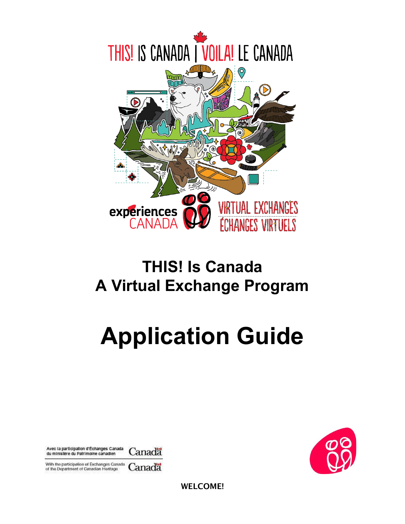

# **THIS! Is Canada A Virtual Exchange Program**

# **Application Guide**



With the participation of Exchanges Canada Canadä of the Department of Canadian Heritage



WELCOME!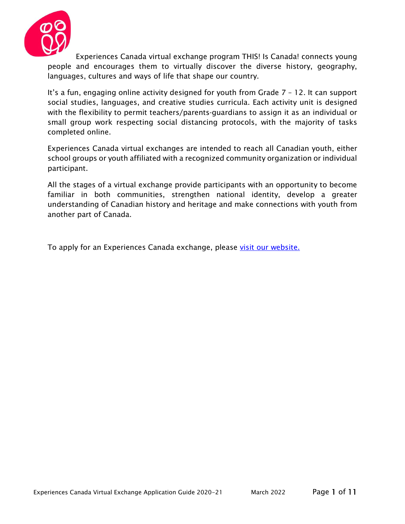

Experiences Canada virtual exchange program THIS! Is Canada! connects young people and encourages them to virtually discover the diverse history, geography, languages, cultures and ways of life that shape our country.

It's a fun, engaging online activity designed for youth from Grade 7 – 12. It can support social studies, languages, and creative studies curricula. Each activity unit is designed with the flexibility to permit teachers/parents-guardians to assign it as an individual or small group work respecting social distancing protocols, with the majority of tasks completed online.

Experiences Canada virtual exchanges are intended to reach all Canadian youth, either school groups or youth affiliated with a recognized community organization or individual participant.

All the stages of a virtual exchange provide participants with an opportunity to become familiar in both communities, strengthen national identity, develop a greater understanding of Canadian history and heritage and make connections with youth from another part of Canada.

To apply for an Experiences Canada exchange, please [visit our website.](https://experiencescanada.ca/virtual-exchanges/)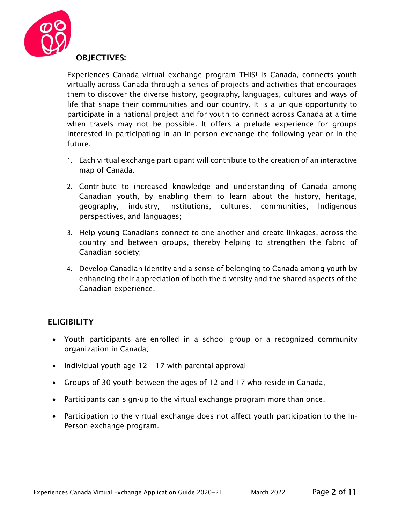

Experiences Canada virtual exchange program THIS! Is Canada, connects youth virtually across Canada through a series of projects and activities that encourages them to discover the diverse history, geography, languages, cultures and ways of life that shape their communities and our country. It is a unique opportunity to participate in a national project and for youth to connect across Canada at a time when travels may not be possible. It offers a prelude experience for groups interested in participating in an in-person exchange the following year or in the future.

- 1. Each virtual exchange participant will contribute to the creation of an interactive map of Canada.
- 2. Contribute to increased knowledge and understanding of Canada among Canadian youth, by enabling them to learn about the history, heritage, geography, industry, institutions, cultures, communities, Indigenous perspectives, and languages;
- 3. Help young Canadians connect to one another and create linkages, across the country and between groups, thereby helping to strengthen the fabric of Canadian society;
- 4. Develop Canadian identity and a sense of belonging to Canada among youth by enhancing their appreciation of both the diversity and the shared aspects of the Canadian experience.

# ELIGIBILITY

- Youth participants are enrolled in a school group or a recognized community organization in Canada;
- Individual youth age 12 17 with parental approval
- Groups of 30 youth between the ages of 12 and 17 who reside in Canada,
- Participants can sign-up to the virtual exchange program more than once.
- Participation to the virtual exchange does not affect youth participation to the In-Person exchange program.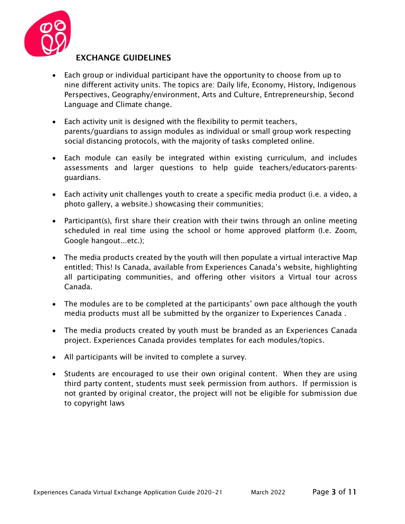

# EXCHANGE GUIDELINES

- Each group or individual participant have the opportunity to choose from up to nine different activity units. The topics are: Daily life, Economy, History, Indigenous Perspectives, Geography/environment, Arts and Culture, Entrepreneurship, Second Language and Climate change.
- Each activity unit is designed with the flexibility to permit teachers, parents/guardians to assign modules as individual or small group work respecting social distancing protocols, with the majority of tasks completed online.
- Each module can easily be integrated within existing curriculum, and includes assessments and larger questions to help guide teachers/educators-parentsguardians.
- Each activity unit challenges youth to create a specific media product (i.e. a video, a photo gallery, a website.) showcasing their communities;
- Participant(s), first share their creation with their twins through an online meeting scheduled in real time using the school or home approved platform (I.e. Zoom, Google hangout...etc.);
- The media products created by the youth will then populate a virtual interactive Map entitled; This! Is Canada, available from Experiences Canada's website, highlighting all participating communities, and offering other visitors a Virtual tour across Canada.
- The modules are to be completed at the participants' own pace although the youth media products must all be submitted by the organizer to Experiences Canada .
- The media products created by youth must be branded as an Experiences Canada project. Experiences Canada provides templates for each modules/topics.
- All participants will be invited to complete a survey.
- Students are encouraged to use their own original content. When they are using third party content, students must seek permission from authors. If permission is not granted by original creator, the project will not be eligible for submission due to copyright laws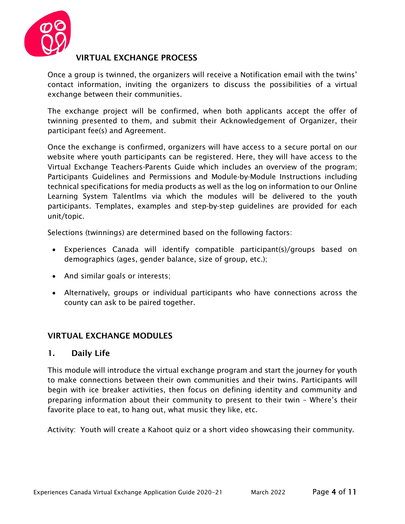

# VIRTUAL EXCHANGE PROCESS

Once a group is twinned, the organizers will receive a Notification email with the twins' contact information, inviting the organizers to discuss the possibilities of a virtual exchange between their communities.

The exchange project will be confirmed, when both applicants accept the offer of twinning presented to them, and submit their Acknowledgement of Organizer, their participant fee(s) and Agreement.

Once the exchange is confirmed, organizers will have access to a secure portal on our website where youth participants can be registered. Here, they will have access to the Virtual Exchange Teachers-Parents Guide which includes an overview of the program; Participants Guidelines and Permissions and Module-by-Module Instructions including technical specifications for media products as well as the log on information to our Online Learning System Talentlms via which the modules will be delivered to the youth participants. Templates, examples and step-by-step guidelines are provided for each unit/topic.

Selections (twinnings) are determined based on the following factors:

- Experiences Canada will identify compatible participant(s)/groups based on demographics (ages, gender balance, size of group, etc.);
- And similar goals or interests;
- Alternatively, groups or individual participants who have connections across the county can ask to be paired together.

# VIRTUAL EXCHANGE MODULES

#### 1. Daily Life

This module will introduce the virtual exchange program and start the journey for youth to make connections between their own communities and their twins. Participants will begin with ice breaker activities, then focus on defining identity and community and preparing information about their community to present to their twin – Where's their favorite place to eat, to hang out, what music they like, etc.

Activity: Youth will create a Kahoot quiz or a short video showcasing their community.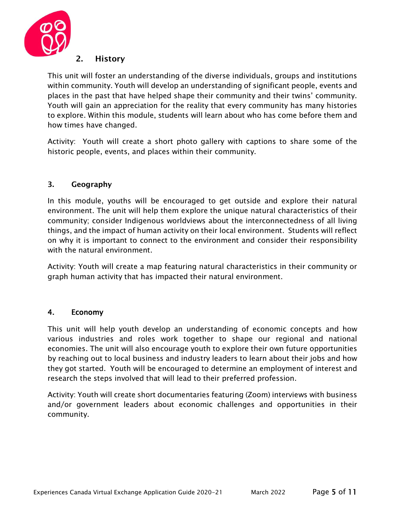

#### 2. History

This unit will foster an understanding of the diverse individuals, groups and institutions within community. Youth will develop an understanding of significant people, events and places in the past that have helped shape their community and their twins' community. Youth will gain an appreciation for the reality that every community has many histories to explore. Within this module, students will learn about who has come before them and how times have changed.

Activity: Youth will create a short photo gallery with captions to share some of the historic people, events, and places within their community.

#### 3. Geography

In this module, youths will be encouraged to get outside and explore their natural environment. The unit will help them explore the unique natural characteristics of their community; consider Indigenous worldviews about the interconnectedness of all living things, and the impact of human activity on their local environment. Students will reflect on why it is important to connect to the environment and consider their responsibility with the natural environment.

Activity: Youth will create a map featuring natural characteristics in their community or graph human activity that has impacted their natural environment.

#### 4. Economy

This unit will help youth develop an understanding of economic concepts and how various industries and roles work together to shape our regional and national economies. The unit will also encourage youth to explore their own future opportunities by reaching out to local business and industry leaders to learn about their jobs and how they got started. Youth will be encouraged to determine an employment of interest and research the steps involved that will lead to their preferred profession.

Activity: Youth will create short documentaries featuring (Zoom) interviews with business and/or government leaders about economic challenges and opportunities in their community.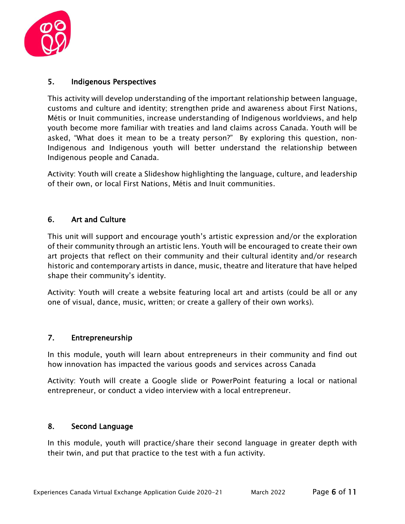

#### 5. Indigenous Perspectives

This activity will develop understanding of the important relationship between language, customs and culture and identity; strengthen pride and awareness about First Nations, Métis or Inuit communities, increase understanding of Indigenous worldviews, and help youth become more familiar with treaties and land claims across Canada. Youth will be asked, "What does it mean to be a treaty person?" By exploring this question, non-Indigenous and Indigenous youth will better understand the relationship between Indigenous people and Canada.

Activity: Youth will create a Slideshow highlighting the language, culture, and leadership of their own, or local First Nations, Métis and Inuit communities.

#### 6. Art and Culture

This unit will support and encourage youth's artistic expression and/or the exploration of their community through an artistic lens. Youth will be encouraged to create their own art projects that reflect on their community and their cultural identity and/or research historic and contemporary artists in dance, music, theatre and literature that have helped shape their community's identity.

Activity: Youth will create a website featuring local art and artists (could be all or any one of visual, dance, music, written; or create a gallery of their own works).

#### 7. Entrepreneurship

In this module, youth will learn about entrepreneurs in their community and find out how innovation has impacted the various goods and services across Canada

Activity: Youth will create a Google slide or PowerPoint featuring a local or national entrepreneur, or conduct a video interview with a local entrepreneur.

#### 8. Second Language

In this module, youth will practice/share their second language in greater depth with their twin, and put that practice to the test with a fun activity.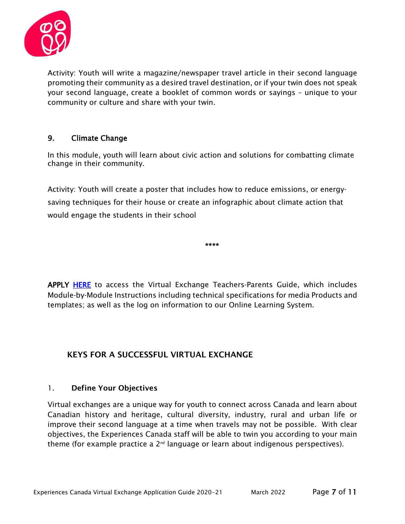

Activity: Youth will write a magazine/newspaper travel article in their second language promoting their community as a desired travel destination, or if your twin does not speak your second language, create a booklet of common words or sayings – unique to your community or culture and share with your twin.

# 9. Climate Change

In this module, youth will learn about civic action and solutions for combatting climate change in their community.

Activity: Youth will create a poster that includes how to reduce emissions, or energysaving techniques for their house or create an infographic about climate action that would engage the students in their school

\*\*\*\*

APPLY [HERE](https://experiencescanada.ca/online-application-form/) to access the Virtual Exchange Teachers-Parents Guide, which includes Module-by-Module Instructions including technical specifications for media Products and templates; as well as the log on information to our Online Learning System.

# KEYS FOR A SUCCESSFUL VIRTUAL EXCHANGE

#### 1. Define Your Objectives

Virtual exchanges are a unique way for youth to connect across Canada and learn about Canadian history and heritage, cultural diversity, industry, rural and urban life or improve their second language at a time when travels may not be possible. With clear objectives, the Experiences Canada staff will be able to twin you according to your main theme (for example practice a  $2^{nd}$  language or learn about indigenous perspectives).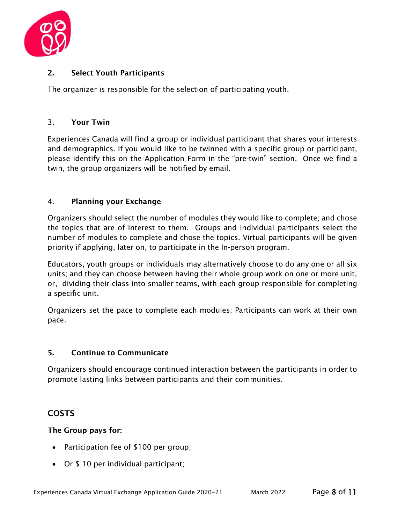

#### 2. Select Youth Participants

The organizer is responsible for the selection of participating youth.

#### 3. Your Twin

Experiences Canada will find a group or individual participant that shares your interests and demographics. If you would like to be twinned with a specific group or participant, please identify this on the Application Form in the "pre-twin" section. Once we find a twin, the group organizers will be notified by email.

#### 4. Planning your Exchange

Organizers should select the number of modules they would like to complete; and chose the topics that are of interest to them. Groups and individual participants select the number of modules to complete and chose the topics. Virtual participants will be given priority if applying, later on, to participate in the In-person program.

Educators, youth groups or individuals may alternatively choose to do any one or all six units; and they can choose between having their whole group work on one or more unit, or, dividing their class into smaller teams, with each group responsible for completing a specific unit.

Organizers set the pace to complete each modules; Participants can work at their own pace.

#### 5. Continue to Communicate

Organizers should encourage continued interaction between the participants in order to promote lasting links between participants and their communities.

# COSTS

#### The Group pays for:

- Participation fee of \$100 per group;
- Or \$ 10 per individual participant;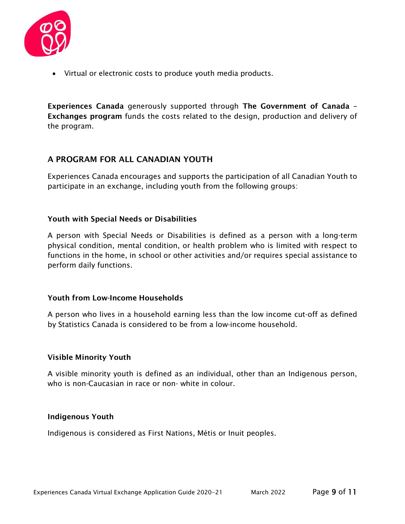

• Virtual or electronic costs to produce youth media products.

Experiences Canada generously supported through The Government of Canada – Exchanges program funds the costs related to the design, production and delivery of the program.

# A PROGRAM FOR ALL CANADIAN YOUTH

Experiences Canada encourages and supports the participation of all Canadian Youth to participate in an exchange, including youth from the following groups:

#### Youth with Special Needs or Disabilities

A person with Special Needs or Disabilities is defined as a person with a long-term physical condition, mental condition, or health problem who is limited with respect to functions in the home, in school or other activities and/or requires special assistance to perform daily functions.

#### Youth from Low-Income Households

A person who lives in a household earning less than the low income cut-off as defined by Statistics Canada is considered to be from a low-income household.

#### Visible Minority Youth

A visible minority youth is defined as an individual, other than an Indigenous person, who is non-Caucasian in race or non- white in colour.

#### Indigenous Youth

Indigenous is considered as First Nations, Métis or Inuit peoples.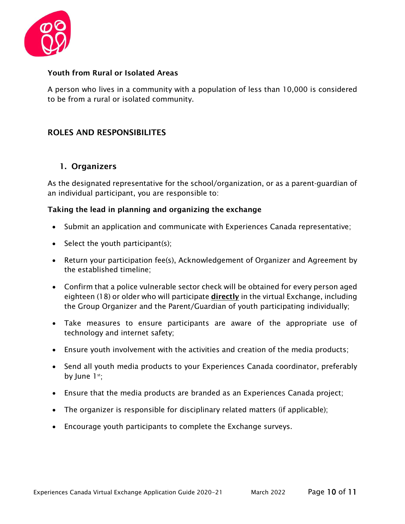

#### Youth from Rural or Isolated Areas

A person who lives in a community with a population of less than 10,000 is considered to be from a rural or isolated community.

# ROLES AND RESPONSIBILITES

#### 1. Organizers

As the designated representative for the school/organization, or as a parent-guardian of an individual participant, you are responsible to:

#### Taking the lead in planning and organizing the exchange

- Submit an application and communicate with Experiences Canada representative;
- Select the youth participant(s);
- Return your participation fee(s), Acknowledgement of Organizer and Agreement by the established timeline;
- Confirm that a police vulnerable sector check will be obtained for every person aged eighteen (18) or older who will participate **directly** in the virtual Exchange, including the Group Organizer and the Parent/Guardian of youth participating individually;
- Take measures to ensure participants are aware of the appropriate use of technology and internet safety;
- Ensure youth involvement with the activities and creation of the media products;
- Send all youth media products to your Experiences Canada coordinator, preferably by June  $1^{st}$ ;
- Ensure that the media products are branded as an Experiences Canada project;
- The organizer is responsible for disciplinary related matters (if applicable);
- Encourage youth participants to complete the Exchange surveys.